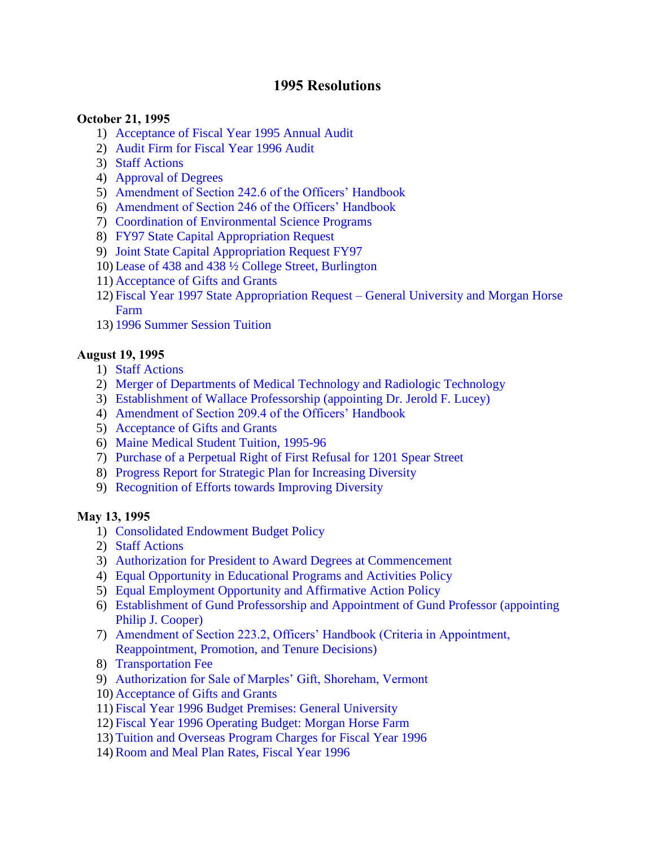# **1995 Resolutions**

#### **October 21, 1995**

- 1) [Acceptance of Fiscal Year 1995 Annual Audit](#page-2-0)
- 2) [Audit Firm for Fiscal Year 1996 Audit](#page-2-0)
- 3) [Staff Actions](#page-2-0)
- 4) [Approval of Degrees](#page-2-0)
- 5) [Amendment of Section 242.6 of the Officers' Handbook](#page-2-0)
- 6) [Amendment of Section 246 of the Officers' Handbook](#page-2-0)
- 7) [Coordination of Environmental Science Programs](#page-3-0)
- 8) [FY97 State Capital Appropriation Request](#page-3-0)
- 9) [Joint State Capital Appropriation Request FY97](#page-3-0)
- 10) [Lease of 438 and 438 ½ College Street, Burlington](#page-3-0)
- 11) [Acceptance of Gifts and Grants](#page-4-0)
- 12) [Fiscal Year 1997 State Appropriation Request –](#page-4-0) General University and Morgan Horse Farm
- 13) [1996 Summer Session Tuition](#page-4-0)

### **August 19, 1995**

- 1) [Staff Actions](#page-5-0)
- 2) [Merger of Departments of Medical Technology and Radiologic Technology](#page-5-0)
- 3) [Establishment of Wallace Professorship \(appointing Dr. Jerold F. Lucey\)](#page-5-0)
- 4) [Amendment of Section 209.4 of the Officers' Handbook](#page-5-0)
- 5) [Acceptance of Gifts and Grants](#page-5-0)
- 6) [Maine Medical Student Tuition, 1995-96](#page-5-0)
- 7) [Purchase of a Perpetual Right of First Refusal for 1201 Spear Street](#page-6-0)
- 8) [Progress Report for Strategic Plan for Increasing Diversity](#page-6-0)
- 9) [Recognition of Efforts towards Improving Diversity](#page-7-0)

#### **May 13, 1995**

- 1) [Consolidated Endowment Budget Policy](#page-8-0)
- 2) [Staff Actions](#page-8-0)
- 3) [Authorization for President to Award Degrees at Commencement](#page-8-0)
- 4) [Equal Opportunity in Educational Programs and Activities Policy](#page-8-0)
- 5) [Equal Employment Opportunity and Affirmative Action Policy](#page-8-0)
- 6) [Establishment of Gund Professorship and Appointment of Gund Professor \(appointing](#page-9-0)  Philip J. Cooper)
- 7) [Amendment of Section 223.2, Officers' Handbook \(Criteria in Appointment,](#page-9-0) Reappointment, Promotion, and Tenure Decisions)
- 8) [Transportation Fee](#page-9-0)
- 9) [Authorization for Sale of Marples' Gift, Shoreham, Vermont](#page-9-0)
- 10) [Acceptance of Gifts and Grants](#page-10-0)
- 11) [Fiscal Year 1996 Budget Premises: General University](#page-10-0)
- 12) [Fiscal Year 1996 Operating Budget: Morgan Horse Farm](#page-10-0)
- 13) [Tuition and Overseas Program Charges for Fiscal Year 1996](#page-10-0)
- 14)[Room and Meal Plan Rates, Fiscal Year 1996](#page-11-0)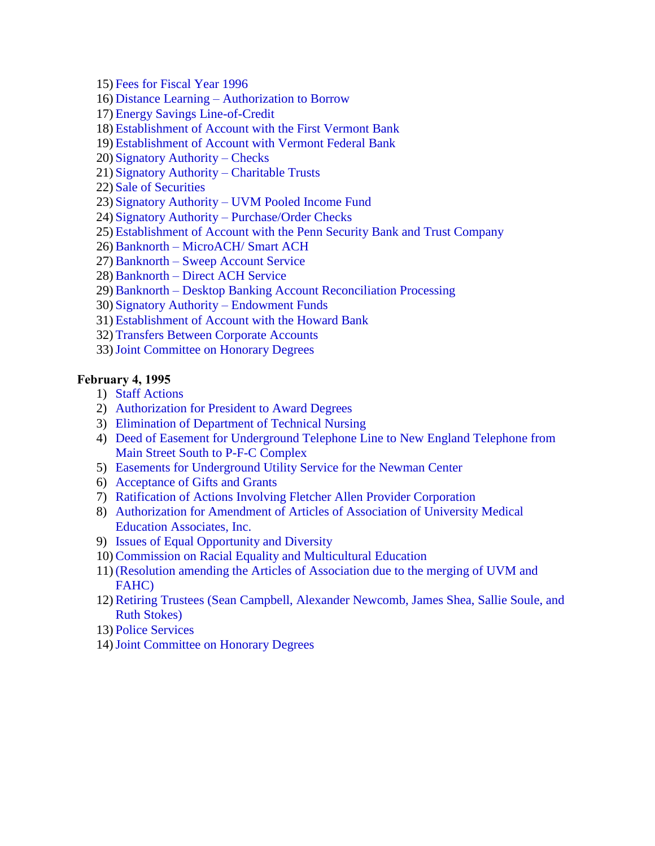15) [Fees for Fiscal Year 1996](#page-11-0)

- 16) Distance Learning [Authorization to Borrow](#page-11-0)
- 17) [Energy Savings Line-of-Credit](#page-12-0)
- 18) [Establishment of Account with the First Vermont Bank](#page-12-0)
- 19) [Establishment of Account with Vermont Federal Bank](#page-12-0)
- 20) [Signatory Authority –](#page-12-0) Checks
- 21) [Signatory Authority –](#page-13-0) Charitable Trusts
- 22) [Sale of Securities](#page-13-0)
- 23) Signatory Authority [UVM Pooled Income Fund](#page-14-0)
- 24) Signatory Authority [Purchase/Order Checks](#page-14-0)
- 25) [Establishment of Account with the Penn Security Bank and Trust Company](#page-14-0)
- 26)Banknorth [MicroACH/ Smart ACH](#page-15-0)
- 27)Banknorth [Sweep Account Service](#page-15-0)
- 28)Banknorth [Direct ACH Service](#page-16-0)
- 29)Banknorth [Desktop Banking Account Reconciliation Processing](#page-16-0)
- 30) [Signatory Authority –](#page-16-0) Endowment Funds
- 31) [Establishment of Account with the Howard Bank](#page-17-0)
- 32) [Transfers Between Corporate Accounts](#page-17-0)
- 33)[Joint Committee on Honorary Degrees](#page-18-0)

#### **February 4, 1995**

- 1) [Staff Actions](#page-19-0)
- 2) [Authorization for President to Award Degrees](#page-19-0)
- 3) [Elimination of Department of Technical Nursing](#page-19-0)
- 4) [Deed of Easement for Underground Telephone Line to New England Telephone from](#page-19-0)  Main Street South to P-F-C Complex
- 5) [Easements for Underground Utility Service for the Newman Center](#page-20-0)
- 6) [Acceptance of Gifts and Grants](#page-20-0)
- 7) [Ratification of Actions Involving Fletcher Allen Provider Corporation](#page-20-0)
- 8) [Authorization for Amendment of Articles of Association of University Medical](#page-21-0) Education Associates, Inc.
- 9) [Issues of Equal Opportunity and Diversity](#page-21-0)
- 10)[Commission on Racial Equality and Multicultural Education](#page-22-0)
- 11) [\(Resolution amending the Articles of Association due to the merging of UVM and](#page-23-0) FAHC)
- 12)[Retiring Trustees \(Sean Campbell, Alexander Newcomb, James Shea, Sallie Soule, and](#page-24-0)  Ruth Stokes)
- 13) [Police Services](#page-25-0)
- 14)[Joint Committee on Honorary Degrees](#page-26-0)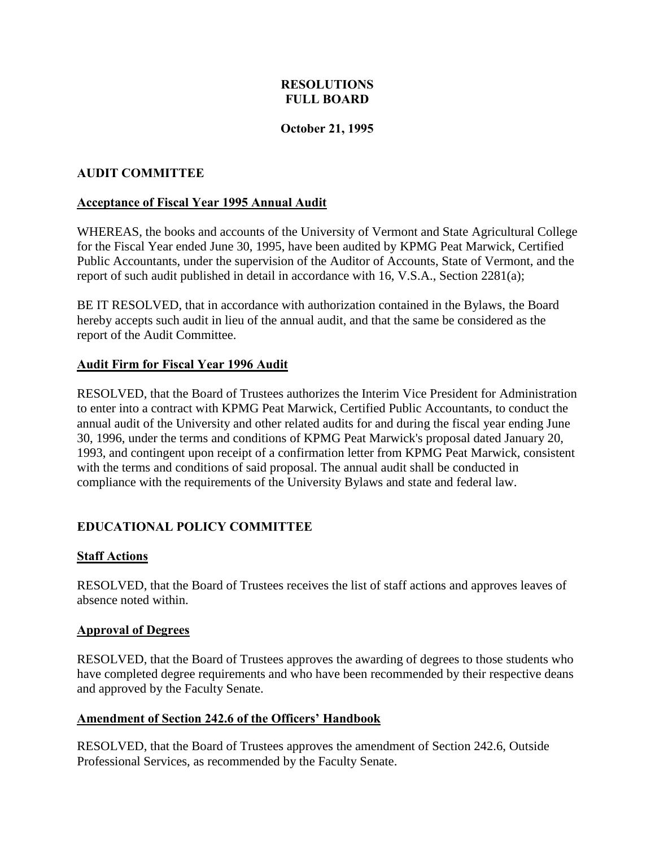### **RESOLUTIONS FULL BOARD**

#### **October 21, 1995**

#### <span id="page-2-0"></span>**AUDIT COMMITTEE**

#### **Acceptance of Fiscal Year 1995 Annual Audit**

WHEREAS, the books and accounts of the University of Vermont and State Agricultural College for the Fiscal Year ended June 30, 1995, have been audited by KPMG Peat Marwick, Certified Public Accountants, under the supervision of the Auditor of Accounts, State of Vermont, and the report of such audit published in detail in accordance with 16, V.S.A., Section 2281(a);

BE IT RESOLVED, that in accordance with authorization contained in the Bylaws, the Board hereby accepts such audit in lieu of the annual audit, and that the same be considered as the report of the Audit Committee.

#### **Audit Firm for Fiscal Year 1996 Audit**

RESOLVED, that the Board of Trustees authorizes the Interim Vice President for Administration to enter into a contract with KPMG Peat Marwick, Certified Public Accountants, to conduct the annual audit of the University and other related audits for and during the fiscal year ending June 30, 1996, under the terms and conditions of KPMG Peat Marwick's proposal dated January 20, 1993, and contingent upon receipt of a confirmation letter from KPMG Peat Marwick, consistent with the terms and conditions of said proposal. The annual audit shall be conducted in compliance with the requirements of the University Bylaws and state and federal law.

### **EDUCATIONAL POLICY COMMITTEE**

#### **Staff Actions**

RESOLVED, that the Board of Trustees receives the list of staff actions and approves leaves of absence noted within.

#### **Approval of Degrees**

RESOLVED, that the Board of Trustees approves the awarding of degrees to those students who have completed degree requirements and who have been recommended by their respective deans and approved by the Faculty Senate.

#### **Amendment of Section 242.6 of the Officers' Handbook**

RESOLVED, that the Board of Trustees approves the amendment of Section 242.6, Outside Professional Services, as recommended by the Faculty Senate.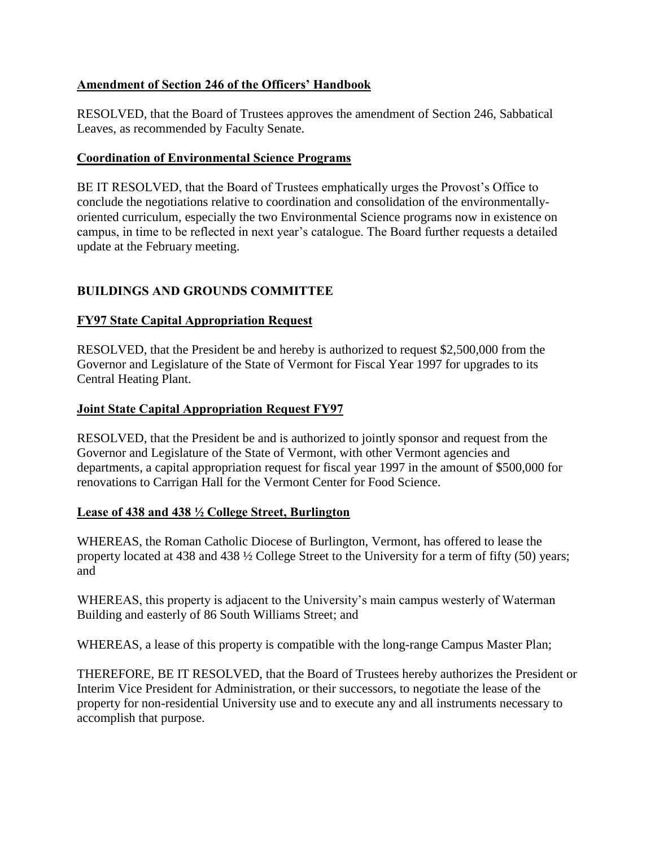### <span id="page-3-0"></span>**Amendment of Section 246 of the Officers' Handbook**

RESOLVED, that the Board of Trustees approves the amendment of Section 246, Sabbatical Leaves, as recommended by Faculty Senate.

### **Coordination of Environmental Science Programs**

BE IT RESOLVED, that the Board of Trustees emphatically urges the Provost's Office to conclude the negotiations relative to coordination and consolidation of the environmentallyoriented curriculum, especially the two Environmental Science programs now in existence on campus, in time to be reflected in next year's catalogue. The Board further requests a detailed update at the February meeting.

# **BUILDINGS AND GROUNDS COMMITTEE**

# **FY97 State Capital Appropriation Request**

RESOLVED, that the President be and hereby is authorized to request \$2,500,000 from the Governor and Legislature of the State of Vermont for Fiscal Year 1997 for upgrades to its Central Heating Plant.

## **Joint State Capital Appropriation Request FY97**

RESOLVED, that the President be and is authorized to jointly sponsor and request from the Governor and Legislature of the State of Vermont, with other Vermont agencies and departments, a capital appropriation request for fiscal year 1997 in the amount of \$500,000 for renovations to Carrigan Hall for the Vermont Center for Food Science.

### **Lease of 438 and 438 ½ College Street, Burlington**

WHEREAS, the Roman Catholic Diocese of Burlington, Vermont, has offered to lease the property located at 438 and 438 ½ College Street to the University for a term of fifty (50) years; and

WHEREAS, this property is adjacent to the University's main campus westerly of Waterman Building and easterly of 86 South Williams Street; and

WHEREAS, a lease of this property is compatible with the long-range Campus Master Plan;

THEREFORE, BE IT RESOLVED, that the Board of Trustees hereby authorizes the President or Interim Vice President for Administration, or their successors, to negotiate the lease of the property for non-residential University use and to execute any and all instruments necessary to accomplish that purpose.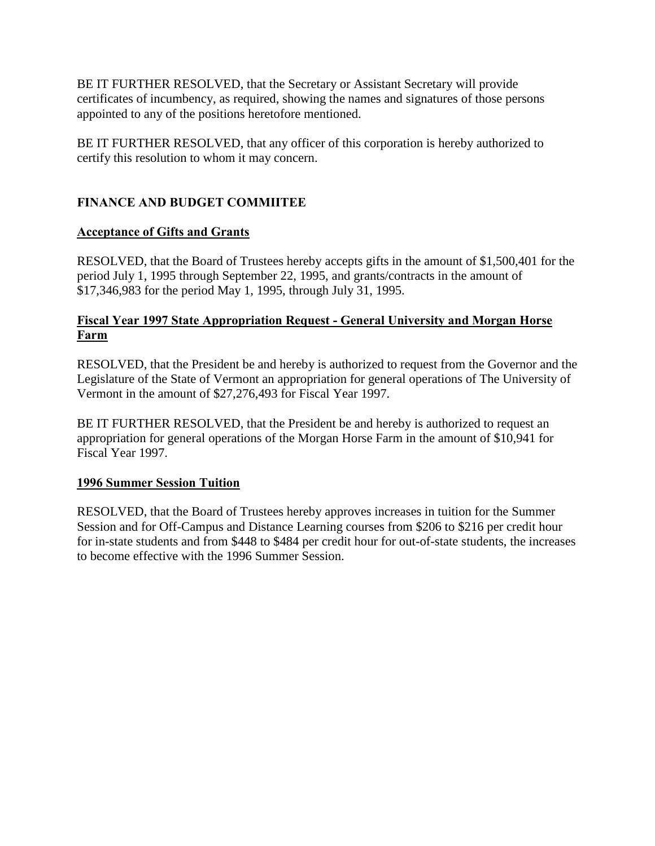<span id="page-4-0"></span>BE IT FURTHER RESOLVED, that the Secretary or Assistant Secretary will provide certificates of incumbency, as required, showing the names and signatures of those persons appointed to any of the positions heretofore mentioned.

BE IT FURTHER RESOLVED, that any officer of this corporation is hereby authorized to certify this resolution to whom it may concern.

# **FINANCE AND BUDGET COMMIITEE**

## **Acceptance of Gifts and Grants**

RESOLVED, that the Board of Trustees hereby accepts gifts in the amount of \$1,500,401 for the period July 1, 1995 through September 22, 1995, and grants/contracts in the amount of \$17,346,983 for the period May 1, 1995, through July 31, 1995.

## **Fiscal Year 1997 State Appropriation Request - General University and Morgan Horse Farm**

RESOLVED, that the President be and hereby is authorized to request from the Governor and the Legislature of the State of Vermont an appropriation for general operations of The University of Vermont in the amount of \$27,276,493 for Fiscal Year 1997.

BE IT FURTHER RESOLVED, that the President be and hereby is authorized to request an appropriation for general operations of the Morgan Horse Farm in the amount of \$10,941 for Fiscal Year 1997.

### **1996 Summer Session Tuition**

RESOLVED, that the Board of Trustees hereby approves increases in tuition for the Summer Session and for Off-Campus and Distance Learning courses from \$206 to \$216 per credit hour for in-state students and from \$448 to \$484 per credit hour for out-of-state students, the increases to become effective with the 1996 Summer Session.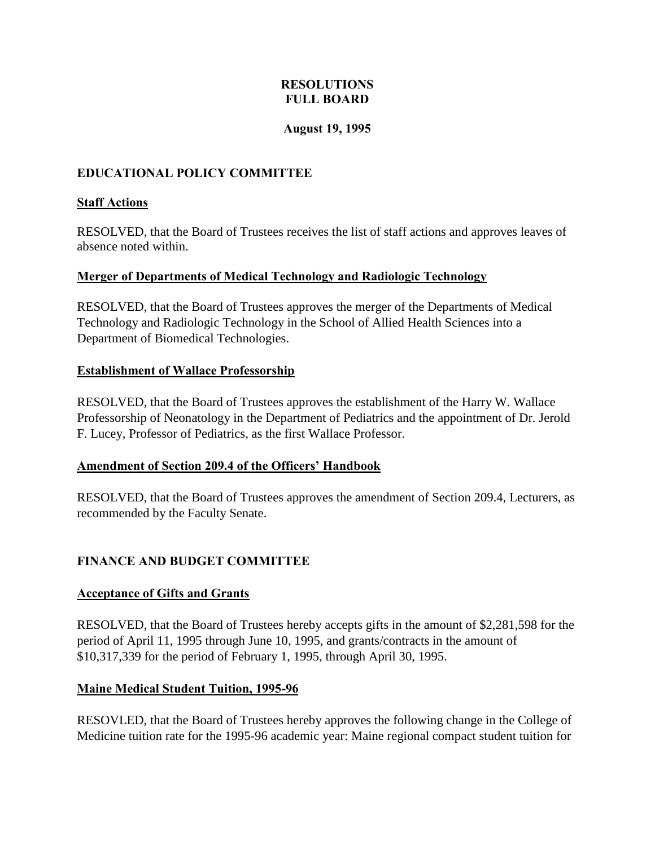### **RESOLUTIONS FULL BOARD**

### **August 19, 1995**

## <span id="page-5-0"></span>**EDUCATIONAL POLICY COMMITTEE**

#### **Staff Actions**

RESOLVED, that the Board of Trustees receives the list of staff actions and approves leaves of absence noted within.

#### **Merger of Departments of Medical Technology and Radiologic Technology**

RESOLVED, that the Board of Trustees approves the merger of the Departments of Medical Technology and Radiologic Technology in the School of Allied Health Sciences into a Department of Biomedical Technologies.

#### **Establishment of Wallace Professorship**

RESOLVED, that the Board of Trustees approves the establishment of the Harry W. Wallace Professorship of Neonatology in the Department of Pediatrics and the appointment of Dr. Jerold F. Lucey, Professor of Pediatrics, as the first Wallace Professor.

#### **Amendment of Section 209.4 of the Officers' Handbook**

RESOLVED, that the Board of Trustees approves the amendment of Section 209.4, Lecturers, as recommended by the Faculty Senate.

### **FINANCE AND BUDGET COMMITTEE**

#### **Acceptance of Gifts and Grants**

RESOLVED, that the Board of Trustees hereby accepts gifts in the amount of \$2,281,598 for the period of April 11, 1995 through June 10, 1995, and grants/contracts in the amount of \$10,317,339 for the period of February 1, 1995, through April 30, 1995.

#### **Maine Medical Student Tuition, 1995-96**

RESOVLED, that the Board of Trustees hereby approves the following change in the College of Medicine tuition rate for the 1995-96 academic year: Maine regional compact student tuition for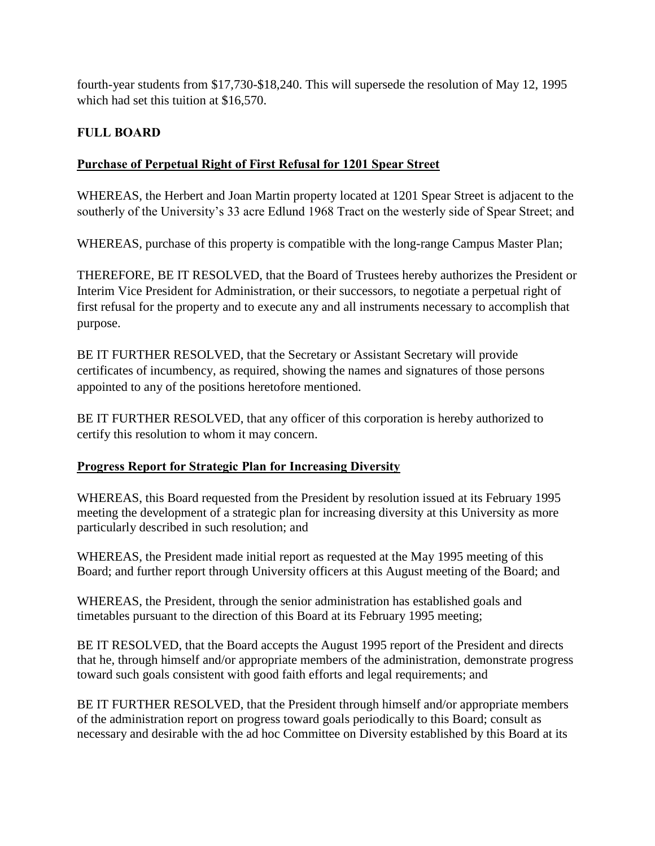<span id="page-6-0"></span>fourth-year students from \$17,730-\$18,240. This will supersede the resolution of May 12, 1995 which had set this tuition at \$16,570.

# **FULL BOARD**

# **Purchase of Perpetual Right of First Refusal for 1201 Spear Street**

WHEREAS, the Herbert and Joan Martin property located at 1201 Spear Street is adjacent to the southerly of the University's 33 acre Edlund 1968 Tract on the westerly side of Spear Street; and

WHEREAS, purchase of this property is compatible with the long-range Campus Master Plan;

THEREFORE, BE IT RESOLVED, that the Board of Trustees hereby authorizes the President or Interim Vice President for Administration, or their successors, to negotiate a perpetual right of first refusal for the property and to execute any and all instruments necessary to accomplish that purpose.

BE IT FURTHER RESOLVED, that the Secretary or Assistant Secretary will provide certificates of incumbency, as required, showing the names and signatures of those persons appointed to any of the positions heretofore mentioned.

BE IT FURTHER RESOLVED, that any officer of this corporation is hereby authorized to certify this resolution to whom it may concern.

### **Progress Report for Strategic Plan for Increasing Diversity**

WHEREAS, this Board requested from the President by resolution issued at its February 1995 meeting the development of a strategic plan for increasing diversity at this University as more particularly described in such resolution; and

WHEREAS, the President made initial report as requested at the May 1995 meeting of this Board; and further report through University officers at this August meeting of the Board; and

WHEREAS, the President, through the senior administration has established goals and timetables pursuant to the direction of this Board at its February 1995 meeting;

BE IT RESOLVED, that the Board accepts the August 1995 report of the President and directs that he, through himself and/or appropriate members of the administration, demonstrate progress toward such goals consistent with good faith efforts and legal requirements; and

BE IT FURTHER RESOLVED, that the President through himself and/or appropriate members of the administration report on progress toward goals periodically to this Board; consult as necessary and desirable with the ad hoc Committee on Diversity established by this Board at its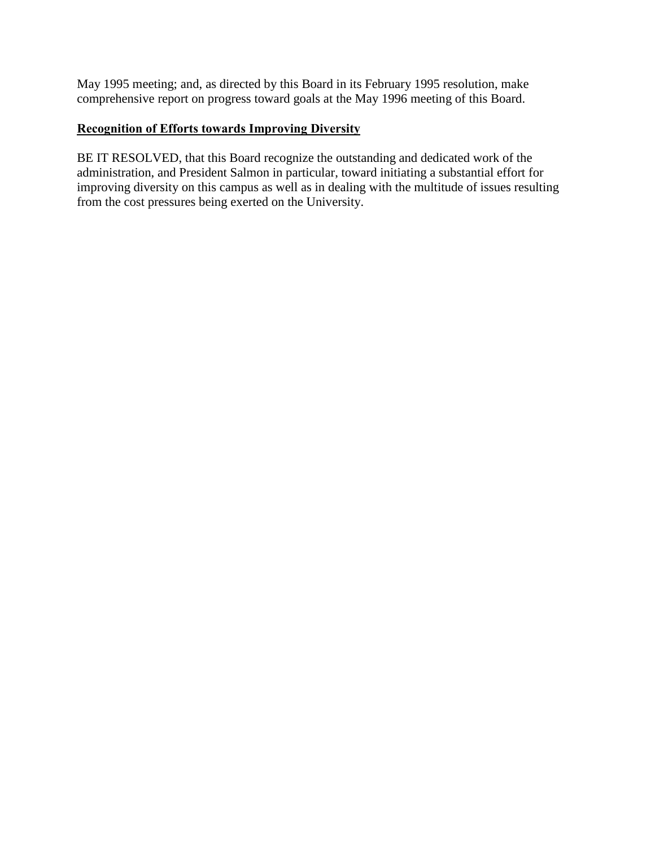<span id="page-7-0"></span>May 1995 meeting; and, as directed by this Board in its February 1995 resolution, make comprehensive report on progress toward goals at the May 1996 meeting of this Board.

# **Recognition of Efforts towards Improving Diversity**

BE IT RESOLVED, that this Board recognize the outstanding and dedicated work of the administration, and President Salmon in particular, toward initiating a substantial effort for improving diversity on this campus as well as in dealing with the multitude of issues resulting from the cost pressures being exerted on the University.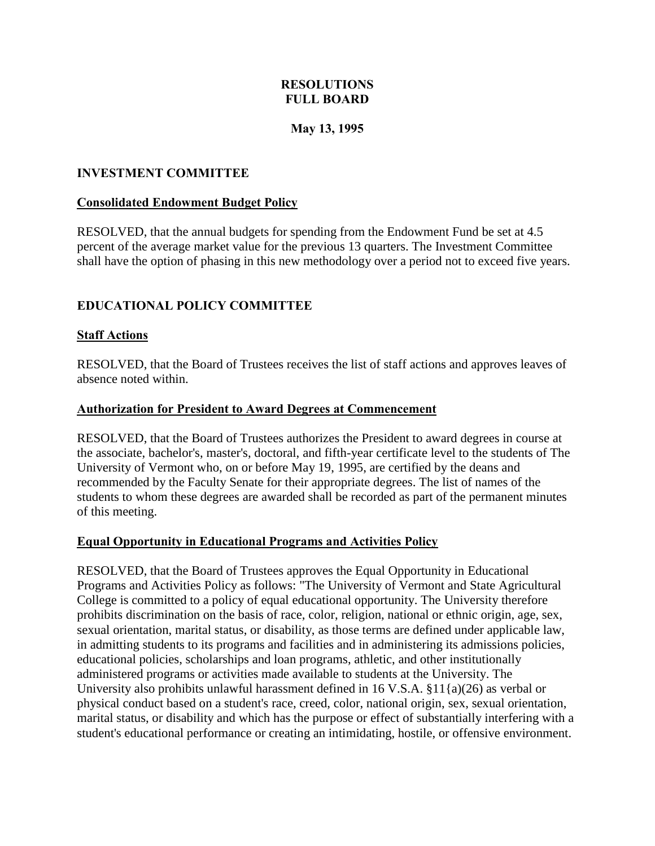### **RESOLUTIONS FULL BOARD**

### **May 13, 1995**

#### <span id="page-8-0"></span>**INVESTMENT COMMITTEE**

#### **Consolidated Endowment Budget Policy**

RESOLVED, that the annual budgets for spending from the Endowment Fund be set at 4.5 percent of the average market value for the previous 13 quarters. The Investment Committee shall have the option of phasing in this new methodology over a period not to exceed five years.

#### **EDUCATIONAL POLICY COMMITTEE**

#### **Staff Actions**

RESOLVED, that the Board of Trustees receives the list of staff actions and approves leaves of absence noted within.

#### **Authorization for President to Award Degrees at Commencement**

RESOLVED, that the Board of Trustees authorizes the President to award degrees in course at the associate, bachelor's, master's, doctoral, and fifth-year certificate level to the students of The University of Vermont who, on or before May 19, 1995, are certified by the deans and recommended by the Faculty Senate for their appropriate degrees. The list of names of the students to whom these degrees are awarded shall be recorded as part of the permanent minutes of this meeting.

#### **Equal Opportunity in Educational Programs and Activities Policy**

RESOLVED, that the Board of Trustees approves the Equal Opportunity in Educational Programs and Activities Policy as follows: "The University of Vermont and State Agricultural College is committed to a policy of equal educational opportunity. The University therefore prohibits discrimination on the basis of race, color, religion, national or ethnic origin, age, sex, sexual orientation, marital status, or disability, as those terms are defined under applicable law, in admitting students to its programs and facilities and in administering its admissions policies, educational policies, scholarships and loan programs, athletic, and other institutionally administered programs or activities made available to students at the University. The University also prohibits unlawful harassment defined in 16 V.S.A. §11{a)(26) as verbal or physical conduct based on a student's race, creed, color, national origin, sex, sexual orientation, marital status, or disability and which has the purpose or effect of substantially interfering with a student's educational performance or creating an intimidating, hostile, or offensive environment.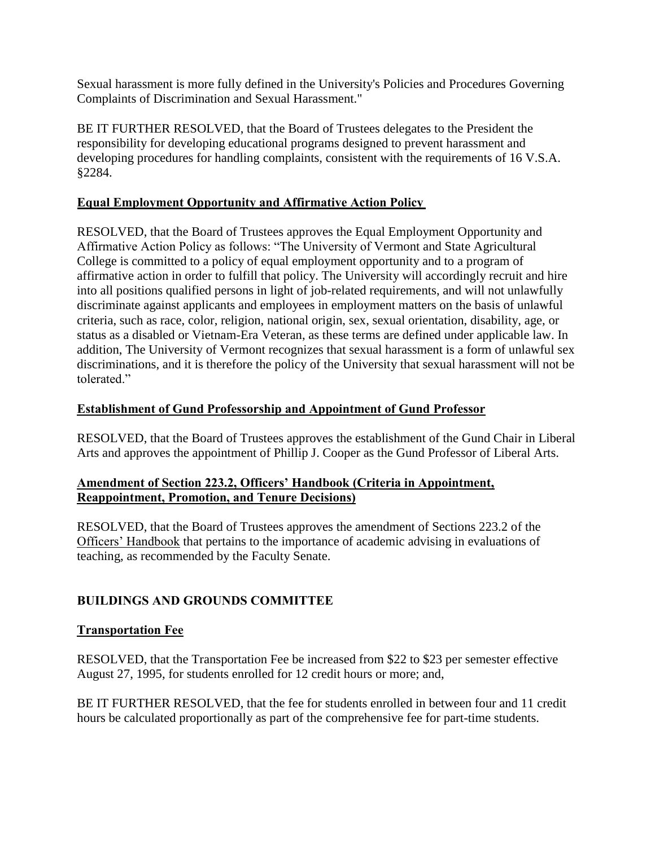<span id="page-9-0"></span>Sexual harassment is more fully defined in the University's Policies and Procedures Governing Complaints of Discrimination and Sexual Harassment."

BE IT FURTHER RESOLVED, that the Board of Trustees delegates to the President the responsibility for developing educational programs designed to prevent harassment and developing procedures for handling complaints, consistent with the requirements of 16 V.S.A. §2284.

### **Equal Employment Opportunity and Affirmative Action Policy**

RESOLVED, that the Board of Trustees approves the Equal Employment Opportunity and Affirmative Action Policy as follows: "The University of Vermont and State Agricultural College is committed to a policy of equal employment opportunity and to a program of affirmative action in order to fulfill that policy. The University will accordingly recruit and hire into all positions qualified persons in light of job-related requirements, and will not unlawfully discriminate against applicants and employees in employment matters on the basis of unlawful criteria, such as race, color, religion, national origin, sex, sexual orientation, disability, age, or status as a disabled or Vietnam-Era Veteran, as these terms are defined under applicable law. In addition, The University of Vermont recognizes that sexual harassment is a form of unlawful sex discriminations, and it is therefore the policy of the University that sexual harassment will not be tolerated"

## **Establishment of Gund Professorship and Appointment of Gund Professor**

RESOLVED, that the Board of Trustees approves the establishment of the Gund Chair in Liberal Arts and approves the appointment of Phillip J. Cooper as the Gund Professor of Liberal Arts.

### **Amendment of Section 223.2, Officers' Handbook (Criteria in Appointment, Reappointment, Promotion, and Tenure Decisions)**

RESOLVED, that the Board of Trustees approves the amendment of Sections 223.2 of the Officers' Handbook that pertains to the importance of academic advising in evaluations of teaching, as recommended by the Faculty Senate.

# **BUILDINGS AND GROUNDS COMMITTEE**

### **Transportation Fee**

RESOLVED, that the Transportation Fee be increased from \$22 to \$23 per semester effective August 27, 1995, for students enrolled for 12 credit hours or more; and,

BE IT FURTHER RESOLVED, that the fee for students enrolled in between four and 11 credit hours be calculated proportionally as part of the comprehensive fee for part-time students.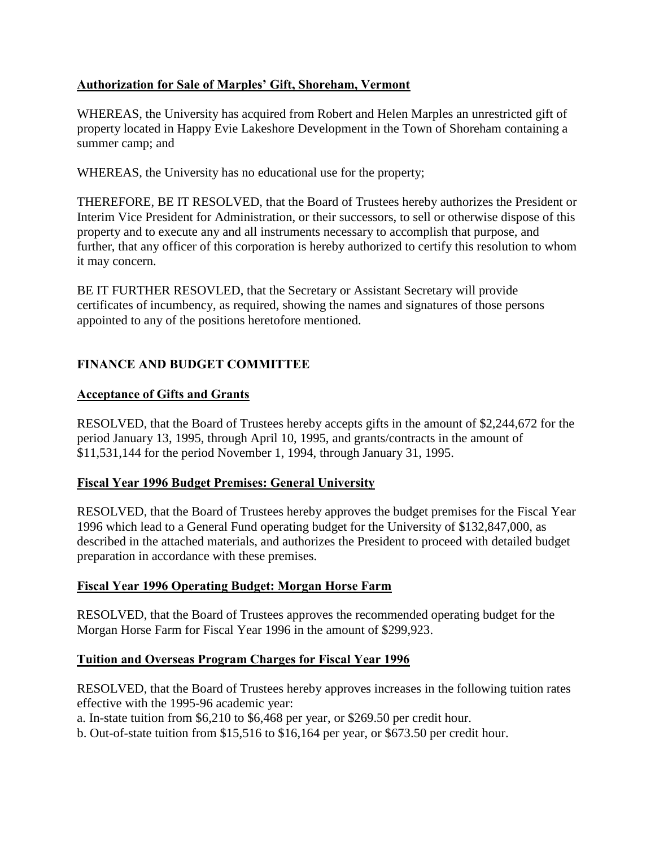## <span id="page-10-0"></span>**Authorization for Sale of Marples' Gift, Shoreham, Vermont**

WHEREAS, the University has acquired from Robert and Helen Marples an unrestricted gift of property located in Happy Evie Lakeshore Development in the Town of Shoreham containing a summer camp; and

WHEREAS, the University has no educational use for the property;

THEREFORE, BE IT RESOLVED, that the Board of Trustees hereby authorizes the President or Interim Vice President for Administration, or their successors, to sell or otherwise dispose of this property and to execute any and all instruments necessary to accomplish that purpose, and further, that any officer of this corporation is hereby authorized to certify this resolution to whom it may concern.

BE IT FURTHER RESOVLED, that the Secretary or Assistant Secretary will provide certificates of incumbency, as required, showing the names and signatures of those persons appointed to any of the positions heretofore mentioned.

# **FINANCE AND BUDGET COMMITTEE**

#### **Acceptance of Gifts and Grants**

RESOLVED, that the Board of Trustees hereby accepts gifts in the amount of \$2,244,672 for the period January 13, 1995, through April 10, 1995, and grants/contracts in the amount of \$11,531,144 for the period November 1, 1994, through January 31, 1995.

### **Fiscal Year 1996 Budget Premises: General University**

RESOLVED, that the Board of Trustees hereby approves the budget premises for the Fiscal Year 1996 which lead to a General Fund operating budget for the University of \$132,847,000, as described in the attached materials, and authorizes the President to proceed with detailed budget preparation in accordance with these premises.

### **Fiscal Year 1996 Operating Budget: Morgan Horse Farm**

RESOLVED, that the Board of Trustees approves the recommended operating budget for the Morgan Horse Farm for Fiscal Year 1996 in the amount of \$299,923.

### **Tuition and Overseas Program Charges for Fiscal Year 1996**

RESOLVED, that the Board of Trustees hereby approves increases in the following tuition rates effective with the 1995-96 academic year:

a. In-state tuition from \$6,210 to \$6,468 per year, or \$269.50 per credit hour.

b. Out-of-state tuition from \$15,516 to \$16,164 per year, or \$673.50 per credit hour.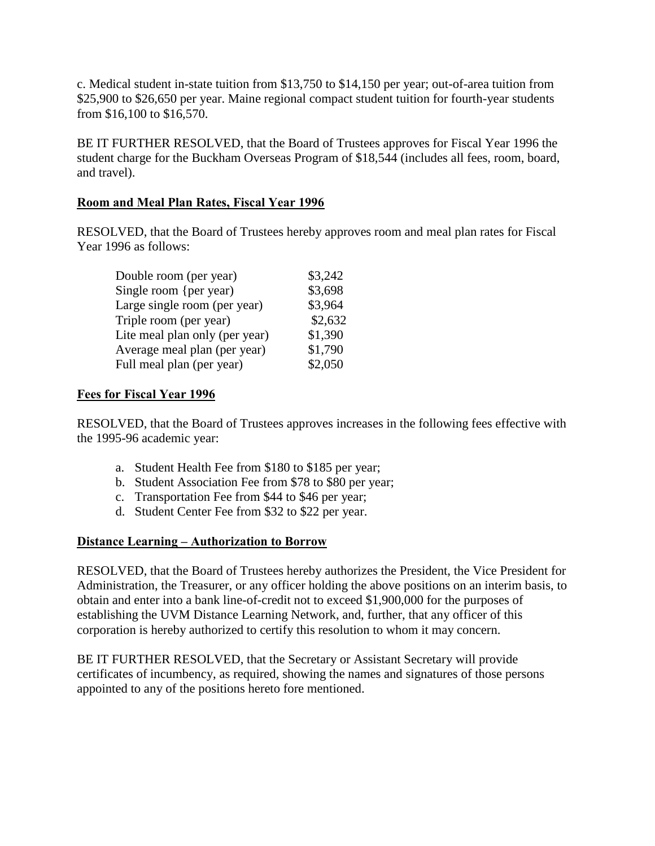<span id="page-11-0"></span>c. Medical student in-state tuition from \$13,750 to \$14,150 per year; out-of-area tuition from \$25,900 to \$26,650 per year. Maine regional compact student tuition for fourth-year students from \$16,100 to \$16,570.

BE IT FURTHER RESOLVED, that the Board of Trustees approves for Fiscal Year 1996 the student charge for the Buckham Overseas Program of \$18,544 (includes all fees, room, board, and travel).

### **Room and Meal Plan Rates, Fiscal Year 1996**

RESOLVED, that the Board of Trustees hereby approves room and meal plan rates for Fiscal Year 1996 as follows:

| Double room (per year)         | \$3,242 |
|--------------------------------|---------|
| Single room {per year)         | \$3,698 |
| Large single room (per year)   | \$3,964 |
| Triple room (per year)         | \$2,632 |
| Lite meal plan only (per year) | \$1,390 |
| Average meal plan (per year)   | \$1,790 |
| Full meal plan (per year)      | \$2,050 |

#### **Fees for Fiscal Year 1996**

RESOLVED, that the Board of Trustees approves increases in the following fees effective with the 1995-96 academic year:

- a. Student Health Fee from \$180 to \$185 per year;
- b. Student Association Fee from \$78 to \$80 per year;
- c. Transportation Fee from \$44 to \$46 per year;
- d. Student Center Fee from \$32 to \$22 per year.

### **Distance Learning – Authorization to Borrow**

RESOLVED, that the Board of Trustees hereby authorizes the President, the Vice President for Administration, the Treasurer, or any officer holding the above positions on an interim basis, to obtain and enter into a bank line-of-credit not to exceed \$1,900,000 for the purposes of establishing the UVM Distance Learning Network, and, further, that any officer of this corporation is hereby authorized to certify this resolution to whom it may concern.

BE IT FURTHER RESOLVED, that the Secretary or Assistant Secretary will provide certificates of incumbency, as required, showing the names and signatures of those persons appointed to any of the positions hereto fore mentioned.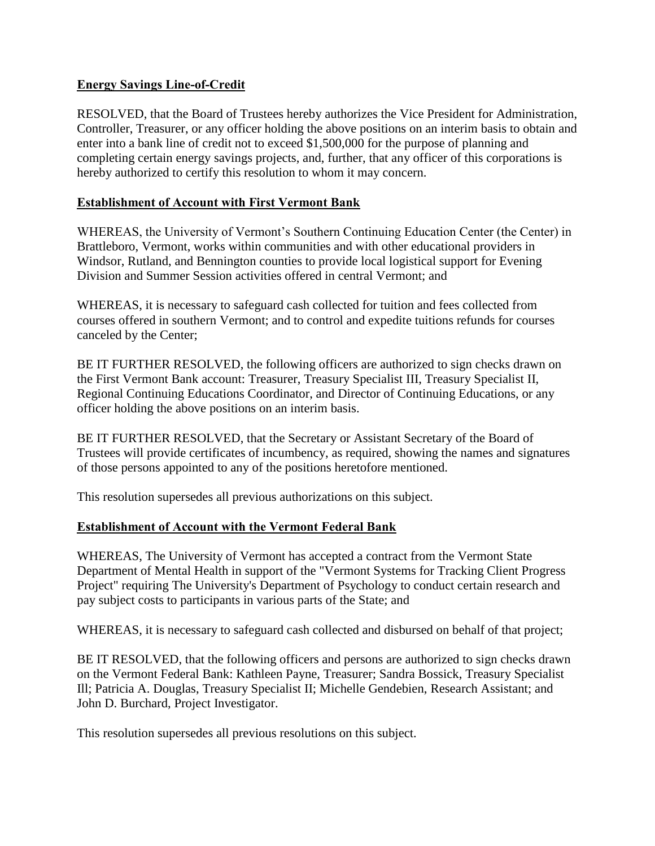### <span id="page-12-0"></span>**Energy Savings Line-of-Credit**

RESOLVED, that the Board of Trustees hereby authorizes the Vice President for Administration, Controller, Treasurer, or any officer holding the above positions on an interim basis to obtain and enter into a bank line of credit not to exceed \$1,500,000 for the purpose of planning and completing certain energy savings projects, and, further, that any officer of this corporations is hereby authorized to certify this resolution to whom it may concern.

### **Establishment of Account with First Vermont Bank**

WHEREAS, the University of Vermont's Southern Continuing Education Center (the Center) in Brattleboro, Vermont, works within communities and with other educational providers in Windsor, Rutland, and Bennington counties to provide local logistical support for Evening Division and Summer Session activities offered in central Vermont; and

WHEREAS, it is necessary to safeguard cash collected for tuition and fees collected from courses offered in southern Vermont; and to control and expedite tuitions refunds for courses canceled by the Center;

BE IT FURTHER RESOLVED, the following officers are authorized to sign checks drawn on the First Vermont Bank account: Treasurer, Treasury Specialist III, Treasury Specialist II, Regional Continuing Educations Coordinator, and Director of Continuing Educations, or any officer holding the above positions on an interim basis.

BE IT FURTHER RESOLVED, that the Secretary or Assistant Secretary of the Board of Trustees will provide certificates of incumbency, as required, showing the names and signatures of those persons appointed to any of the positions heretofore mentioned.

This resolution supersedes all previous authorizations on this subject.

### **Establishment of Account with the Vermont Federal Bank**

WHEREAS, The University of Vermont has accepted a contract from the Vermont State Department of Mental Health in support of the "Vermont Systems for Tracking Client Progress Project" requiring The University's Department of Psychology to conduct certain research and pay subject costs to participants in various parts of the State; and

WHEREAS, it is necessary to safeguard cash collected and disbursed on behalf of that project;

BE IT RESOLVED, that the following officers and persons are authorized to sign checks drawn on the Vermont Federal Bank: Kathleen Payne, Treasurer; Sandra Bossick, Treasury Specialist Ill; Patricia A. Douglas, Treasury Specialist II; Michelle Gendebien, Research Assistant; and John D. Burchard, Project Investigator.

This resolution supersedes all previous resolutions on this subject.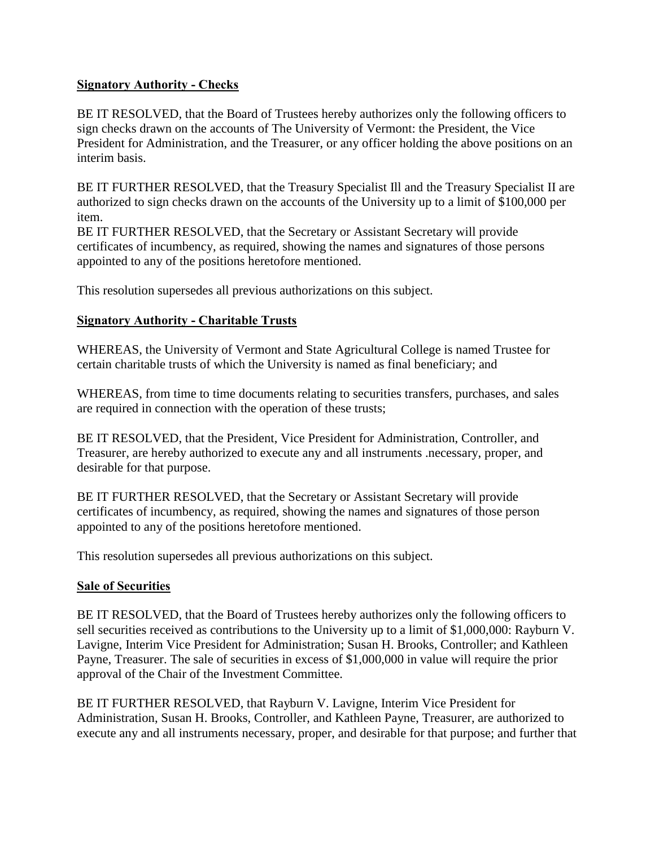### <span id="page-13-0"></span>**Signatory Authority - Checks**

BE IT RESOLVED, that the Board of Trustees hereby authorizes only the following officers to sign checks drawn on the accounts of The University of Vermont: the President, the Vice President for Administration, and the Treasurer, or any officer holding the above positions on an interim basis.

BE IT FURTHER RESOLVED, that the Treasury Specialist Ill and the Treasury Specialist II are authorized to sign checks drawn on the accounts of the University up to a limit of \$100,000 per item.

BE IT FURTHER RESOLVED, that the Secretary or Assistant Secretary will provide certificates of incumbency, as required, showing the names and signatures of those persons appointed to any of the positions heretofore mentioned.

This resolution supersedes all previous authorizations on this subject.

## **Signatory Authority - Charitable Trusts**

WHEREAS, the University of Vermont and State Agricultural College is named Trustee for certain charitable trusts of which the University is named as final beneficiary; and

WHEREAS, from time to time documents relating to securities transfers, purchases, and sales are required in connection with the operation of these trusts;

BE IT RESOLVED, that the President, Vice President for Administration, Controller, and Treasurer, are hereby authorized to execute any and all instruments .necessary, proper, and desirable for that purpose.

BE IT FURTHER RESOLVED, that the Secretary or Assistant Secretary will provide certificates of incumbency, as required, showing the names and signatures of those person appointed to any of the positions heretofore mentioned.

This resolution supersedes all previous authorizations on this subject.

### **Sale of Securities**

BE IT RESOLVED, that the Board of Trustees hereby authorizes only the following officers to sell securities received as contributions to the University up to a limit of \$1,000,000: Rayburn V. Lavigne, Interim Vice President for Administration; Susan H. Brooks, Controller; and Kathleen Payne, Treasurer. The sale of securities in excess of \$1,000,000 in value will require the prior approval of the Chair of the Investment Committee.

BE IT FURTHER RESOLVED, that Rayburn V. Lavigne, Interim Vice President for Administration, Susan H. Brooks, Controller, and Kathleen Payne, Treasurer, are authorized to execute any and all instruments necessary, proper, and desirable for that purpose; and further that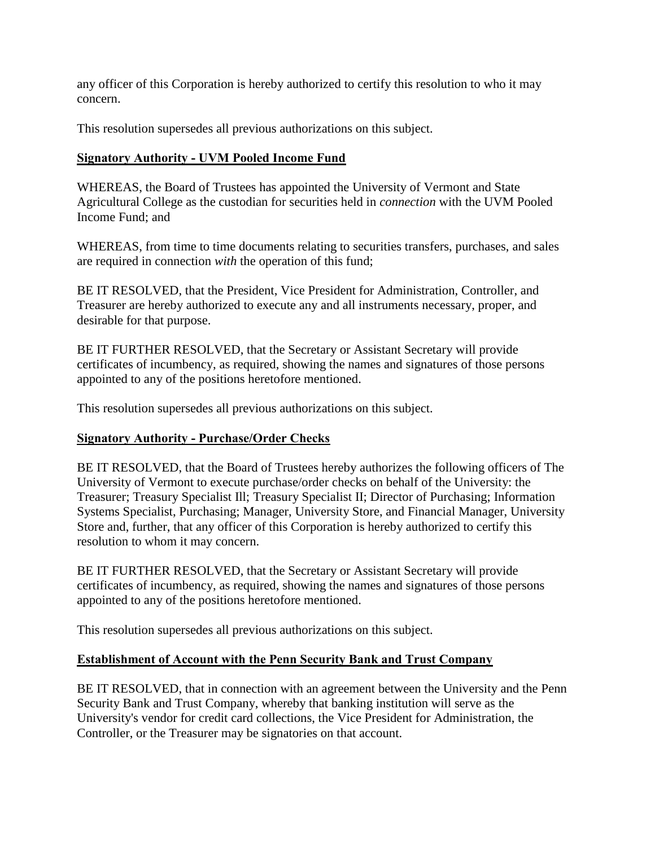<span id="page-14-0"></span>any officer of this Corporation is hereby authorized to certify this resolution to who it may concern.

This resolution supersedes all previous authorizations on this subject.

### **Signatory Authority - UVM Pooled Income Fund**

WHEREAS, the Board of Trustees has appointed the University of Vermont and State Agricultural College as the custodian for securities held in *connection* with the UVM Pooled Income Fund; and

WHEREAS, from time to time documents relating to securities transfers, purchases, and sales are required in connection *with* the operation of this fund;

BE IT RESOLVED, that the President, Vice President for Administration, Controller, and Treasurer are hereby authorized to execute any and all instruments necessary, proper, and desirable for that purpose.

BE IT FURTHER RESOLVED, that the Secretary or Assistant Secretary will provide certificates of incumbency, as required, showing the names and signatures of those persons appointed to any of the positions heretofore mentioned.

This resolution supersedes all previous authorizations on this subject.

### **Signatory Authority - Purchase/Order Checks**

BE IT RESOLVED, that the Board of Trustees hereby authorizes the following officers of The University of Vermont to execute purchase/order checks on behalf of the University: the Treasurer; Treasury Specialist Ill; Treasury Specialist II; Director of Purchasing; Information Systems Specialist, Purchasing; Manager, University Store, and Financial Manager, University Store and, further, that any officer of this Corporation is hereby authorized to certify this resolution to whom it may concern.

BE IT FURTHER RESOLVED, that the Secretary or Assistant Secretary will provide certificates of incumbency, as required, showing the names and signatures of those persons appointed to any of the positions heretofore mentioned.

This resolution supersedes all previous authorizations on this subject.

### **Establishment of Account with the Penn Security Bank and Trust Company**

BE IT RESOLVED, that in connection with an agreement between the University and the Penn Security Bank and Trust Company, whereby that banking institution will serve as the University's vendor for credit card collections, the Vice President for Administration, the Controller, or the Treasurer may be signatories on that account.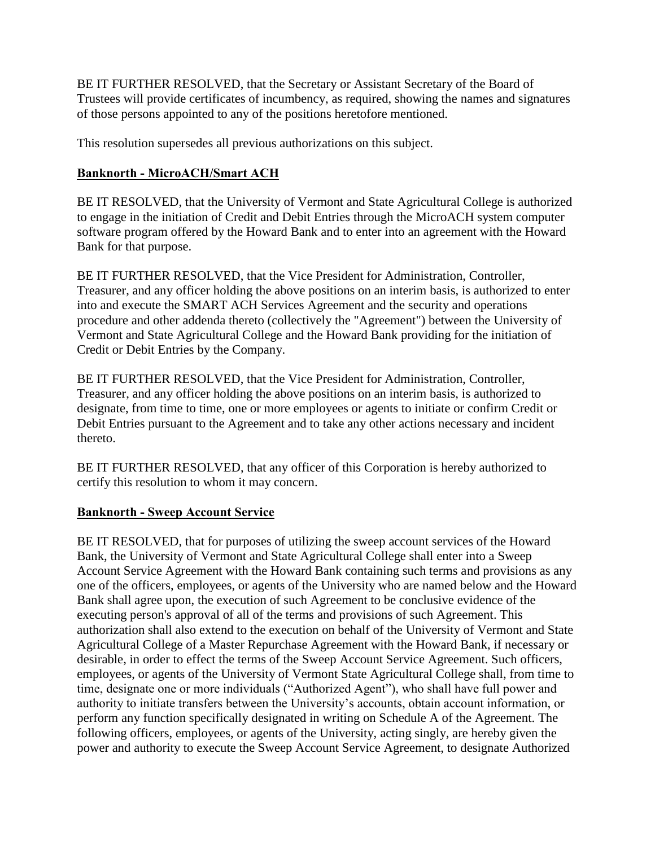<span id="page-15-0"></span>BE IT FURTHER RESOLVED, that the Secretary or Assistant Secretary of the Board of Trustees will provide certificates of incumbency, as required, showing the names and signatures of those persons appointed to any of the positions heretofore mentioned.

This resolution supersedes all previous authorizations on this subject.

### **Banknorth - MicroACH/Smart ACH**

BE IT RESOLVED, that the University of Vermont and State Agricultural College is authorized to engage in the initiation of Credit and Debit Entries through the MicroACH system computer software program offered by the Howard Bank and to enter into an agreement with the Howard Bank for that purpose.

BE IT FURTHER RESOLVED, that the Vice President for Administration, Controller, Treasurer, and any officer holding the above positions on an interim basis, is authorized to enter into and execute the SMART ACH Services Agreement and the security and operations procedure and other addenda thereto (collectively the "Agreement") between the University of Vermont and State Agricultural College and the Howard Bank providing for the initiation of Credit or Debit Entries by the Company.

BE IT FURTHER RESOLVED, that the Vice President for Administration, Controller, Treasurer, and any officer holding the above positions on an interim basis, is authorized to designate, from time to time, one or more employees or agents to initiate or confirm Credit or Debit Entries pursuant to the Agreement and to take any other actions necessary and incident thereto.

BE IT FURTHER RESOLVED, that any officer of this Corporation is hereby authorized to certify this resolution to whom it may concern.

### **Banknorth - Sweep Account Service**

BE IT RESOLVED, that for purposes of utilizing the sweep account services of the Howard Bank, the University of Vermont and State Agricultural College shall enter into a Sweep Account Service Agreement with the Howard Bank containing such terms and provisions as any one of the officers, employees, or agents of the University who are named below and the Howard Bank shall agree upon, the execution of such Agreement to be conclusive evidence of the executing person's approval of all of the terms and provisions of such Agreement. This authorization shall also extend to the execution on behalf of the University of Vermont and State Agricultural College of a Master Repurchase Agreement with the Howard Bank, if necessary or desirable, in order to effect the terms of the Sweep Account Service Agreement. Such officers, employees, or agents of the University of Vermont State Agricultural College shall, from time to time, designate one or more individuals ("Authorized Agent"), who shall have full power and authority to initiate transfers between the University's accounts, obtain account information, or perform any function specifically designated in writing on Schedule A of the Agreement. The following officers, employees, or agents of the University, acting singly, are hereby given the power and authority to execute the Sweep Account Service Agreement, to designate Authorized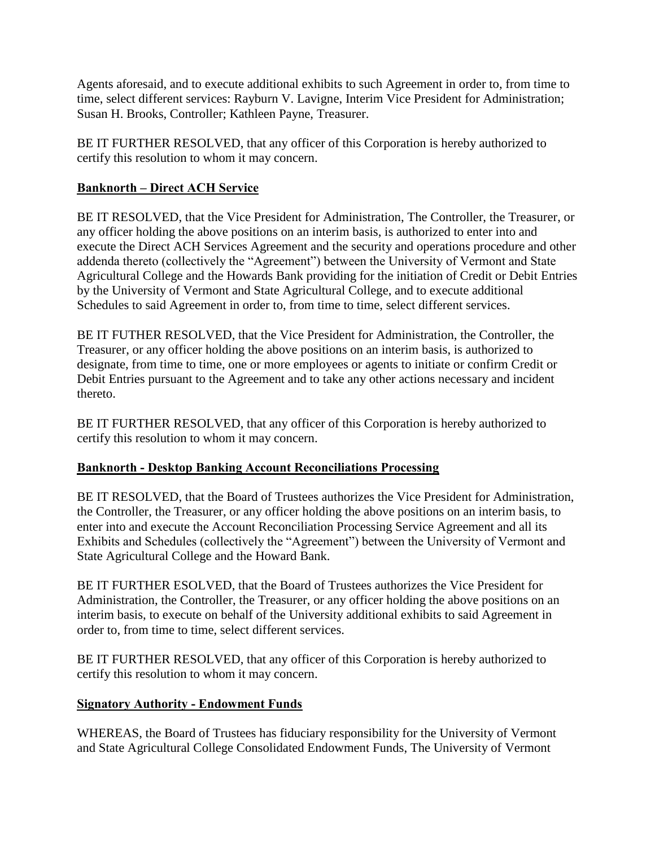<span id="page-16-0"></span>Agents aforesaid, and to execute additional exhibits to such Agreement in order to, from time to time, select different services: Rayburn V. Lavigne, Interim Vice President for Administration; Susan H. Brooks, Controller; Kathleen Payne, Treasurer.

BE IT FURTHER RESOLVED, that any officer of this Corporation is hereby authorized to certify this resolution to whom it may concern.

## **Banknorth – Direct ACH Service**

BE IT RESOLVED, that the Vice President for Administration, The Controller, the Treasurer, or any officer holding the above positions on an interim basis, is authorized to enter into and execute the Direct ACH Services Agreement and the security and operations procedure and other addenda thereto (collectively the "Agreement") between the University of Vermont and State Agricultural College and the Howards Bank providing for the initiation of Credit or Debit Entries by the University of Vermont and State Agricultural College, and to execute additional Schedules to said Agreement in order to, from time to time, select different services.

BE IT FUTHER RESOLVED, that the Vice President for Administration, the Controller, the Treasurer, or any officer holding the above positions on an interim basis, is authorized to designate, from time to time, one or more employees or agents to initiate or confirm Credit or Debit Entries pursuant to the Agreement and to take any other actions necessary and incident thereto.

BE IT FURTHER RESOLVED, that any officer of this Corporation is hereby authorized to certify this resolution to whom it may concern.

### **Banknorth - Desktop Banking Account Reconciliations Processing**

BE IT RESOLVED, that the Board of Trustees authorizes the Vice President for Administration, the Controller, the Treasurer, or any officer holding the above positions on an interim basis, to enter into and execute the Account Reconciliation Processing Service Agreement and all its Exhibits and Schedules (collectively the "Agreement") between the University of Vermont and State Agricultural College and the Howard Bank.

BE IT FURTHER ESOLVED, that the Board of Trustees authorizes the Vice President for Administration, the Controller, the Treasurer, or any officer holding the above positions on an interim basis, to execute on behalf of the University additional exhibits to said Agreement in order to, from time to time, select different services.

BE IT FURTHER RESOLVED, that any officer of this Corporation is hereby authorized to certify this resolution to whom it may concern.

### **Signatory Authority - Endowment Funds**

WHEREAS, the Board of Trustees has fiduciary responsibility for the University of Vermont and State Agricultural College Consolidated Endowment Funds, The University of Vermont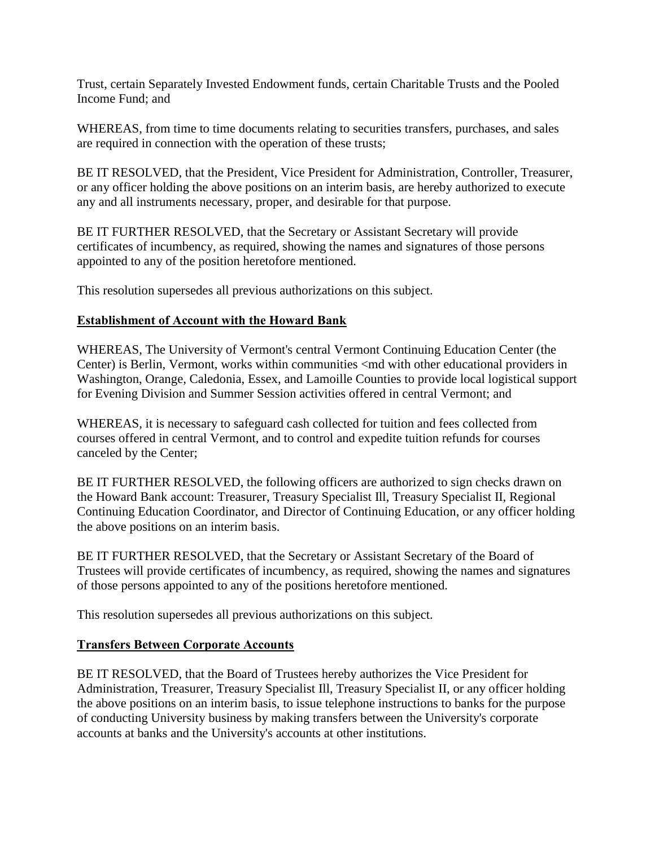<span id="page-17-0"></span>Trust, certain Separately Invested Endowment funds, certain Charitable Trusts and the Pooled Income Fund; and

WHEREAS, from time to time documents relating to securities transfers, purchases, and sales are required in connection with the operation of these trusts;

BE IT RESOLVED, that the President, Vice President for Administration, Controller, Treasurer, or any officer holding the above positions on an interim basis, are hereby authorized to execute any and all instruments necessary, proper, and desirable for that purpose.

BE IT FURTHER RESOLVED, that the Secretary or Assistant Secretary will provide certificates of incumbency, as required, showing the names and signatures of those persons appointed to any of the position heretofore mentioned.

This resolution supersedes all previous authorizations on this subject.

### **Establishment of Account with the Howard Bank**

WHEREAS, The University of Vermont's central Vermont Continuing Education Center (the Center) is Berlin, Vermont, works within communities <md with other educational providers in Washington, Orange, Caledonia, Essex, and Lamoille Counties to provide local logistical support for Evening Division and Summer Session activities offered in central Vermont; and

WHEREAS, it is necessary to safeguard cash collected for tuition and fees collected from courses offered in central Vermont, and to control and expedite tuition refunds for courses canceled by the Center;

BE IT FURTHER RESOLVED, the following officers are authorized to sign checks drawn on the Howard Bank account: Treasurer, Treasury Specialist Ill, Treasury Specialist II, Regional Continuing Education Coordinator, and Director of Continuing Education, or any officer holding the above positions on an interim basis.

BE IT FURTHER RESOLVED, that the Secretary or Assistant Secretary of the Board of Trustees will provide certificates of incumbency, as required, showing the names and signatures of those persons appointed to any of the positions heretofore mentioned.

This resolution supersedes all previous authorizations on this subject.

### **Transfers Between Corporate Accounts**

BE IT RESOLVED, that the Board of Trustees hereby authorizes the Vice President for Administration, Treasurer, Treasury Specialist Ill, Treasury Specialist II, or any officer holding the above positions on an interim basis, to issue telephone instructions to banks for the purpose of conducting University business by making transfers between the University's corporate accounts at banks and the University's accounts at other institutions.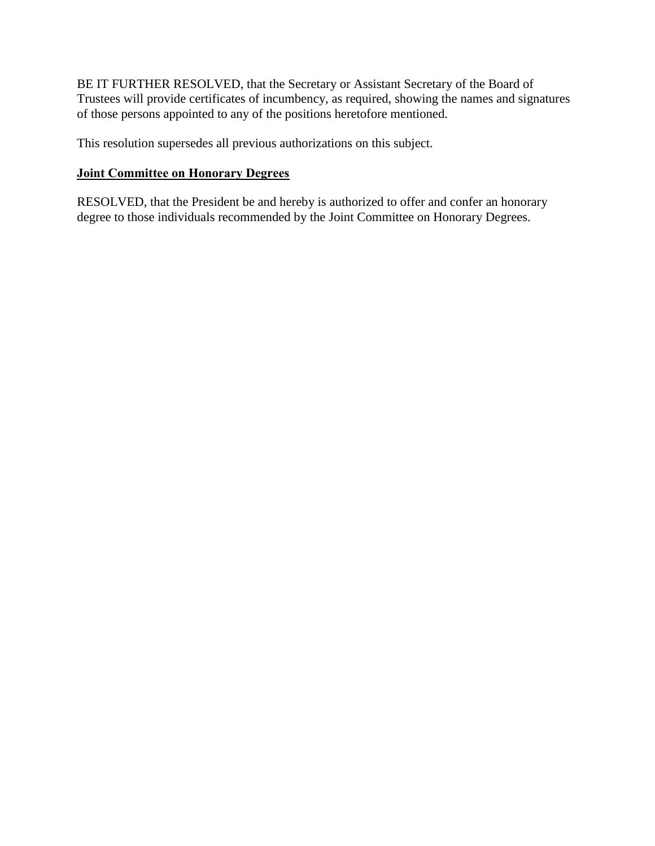<span id="page-18-0"></span>BE IT FURTHER RESOLVED, that the Secretary or Assistant Secretary of the Board of Trustees will provide certificates of incumbency, as required, showing the names and signatures of those persons appointed to any of the positions heretofore mentioned.

This resolution supersedes all previous authorizations on this subject.

#### **Joint Committee on Honorary Degrees**

RESOLVED, that the President be and hereby is authorized to offer and confer an honorary degree to those individuals recommended by the Joint Committee on Honorary Degrees.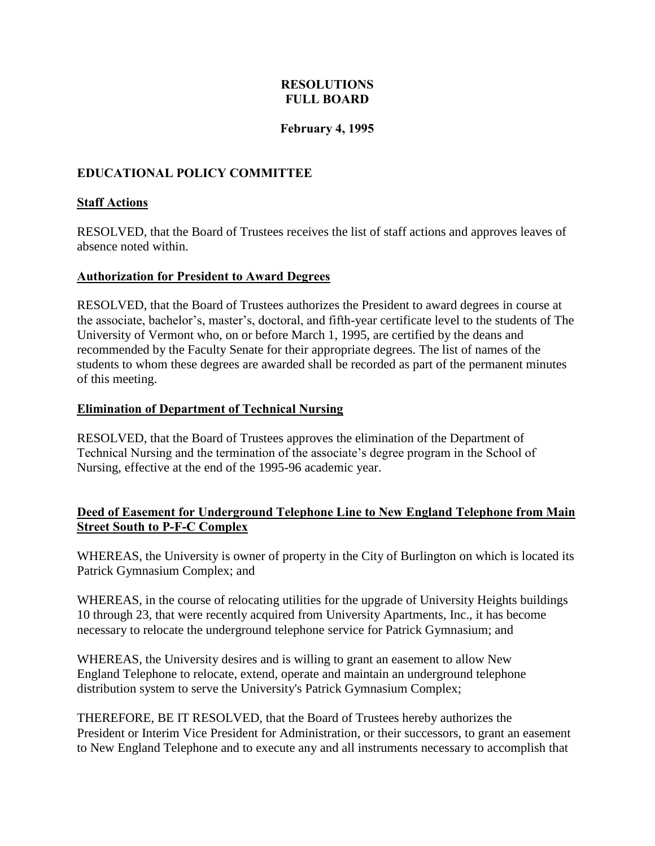### **RESOLUTIONS FULL BOARD**

#### **February 4, 1995**

### <span id="page-19-0"></span>**EDUCATIONAL POLICY COMMITTEE**

#### **Staff Actions**

RESOLVED, that the Board of Trustees receives the list of staff actions and approves leaves of absence noted within.

#### **Authorization for President to Award Degrees**

RESOLVED, that the Board of Trustees authorizes the President to award degrees in course at the associate, bachelor's, master's, doctoral, and fifth-year certificate level to the students of The University of Vermont who, on or before March 1, 1995, are certified by the deans and recommended by the Faculty Senate for their appropriate degrees. The list of names of the students to whom these degrees are awarded shall be recorded as part of the permanent minutes of this meeting.

#### **Elimination of Department of Technical Nursing**

RESOLVED, that the Board of Trustees approves the elimination of the Department of Technical Nursing and the termination of the associate's degree program in the School of Nursing, effective at the end of the 1995-96 academic year.

#### **Deed of Easement for Underground Telephone Line to New England Telephone from Main Street South to P-F-C Complex**

WHEREAS, the University is owner of property in the City of Burlington on which is located its Patrick Gymnasium Complex; and

WHEREAS, in the course of relocating utilities for the upgrade of University Heights buildings 10 through 23, that were recently acquired from University Apartments, Inc., it has become necessary to relocate the underground telephone service for Patrick Gymnasium; and

WHEREAS, the University desires and is willing to grant an easement to allow New England Telephone to relocate, extend, operate and maintain an underground telephone distribution system to serve the University's Patrick Gymnasium Complex;

THEREFORE, BE IT RESOLVED, that the Board of Trustees hereby authorizes the President or Interim Vice President for Administration, or their successors, to grant an easement to New England Telephone and to execute any and all instruments necessary to accomplish that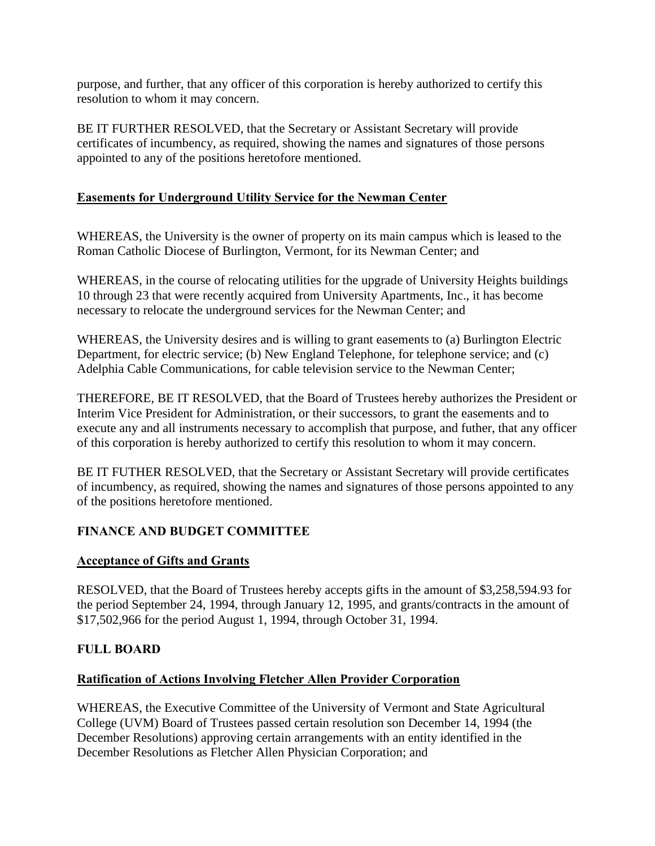<span id="page-20-0"></span>purpose, and further, that any officer of this corporation is hereby authorized to certify this resolution to whom it may concern.

BE IT FURTHER RESOLVED, that the Secretary or Assistant Secretary will provide certificates of incumbency, as required, showing the names and signatures of those persons appointed to any of the positions heretofore mentioned.

### **Easements for Underground Utility Service for the Newman Center**

WHEREAS, the University is the owner of property on its main campus which is leased to the Roman Catholic Diocese of Burlington, Vermont, for its Newman Center; and

WHEREAS, in the course of relocating utilities for the upgrade of University Heights buildings 10 through 23 that were recently acquired from University Apartments, Inc., it has become necessary to relocate the underground services for the Newman Center; and

WHEREAS, the University desires and is willing to grant easements to (a) Burlington Electric Department, for electric service; (b) New England Telephone, for telephone service; and (c) Adelphia Cable Communications, for cable television service to the Newman Center;

THEREFORE, BE IT RESOLVED, that the Board of Trustees hereby authorizes the President or Interim Vice President for Administration, or their successors, to grant the easements and to execute any and all instruments necessary to accomplish that purpose, and futher, that any officer of this corporation is hereby authorized to certify this resolution to whom it may concern.

BE IT FUTHER RESOLVED, that the Secretary or Assistant Secretary will provide certificates of incumbency, as required, showing the names and signatures of those persons appointed to any of the positions heretofore mentioned.

# **FINANCE AND BUDGET COMMITTEE**

### **Acceptance of Gifts and Grants**

RESOLVED, that the Board of Trustees hereby accepts gifts in the amount of \$3,258,594.93 for the period September 24, 1994, through January 12, 1995, and grants/contracts in the amount of \$17,502,966 for the period August 1, 1994, through October 31, 1994.

### **FULL BOARD**

### **Ratification of Actions Involving Fletcher Allen Provider Corporation**

WHEREAS, the Executive Committee of the University of Vermont and State Agricultural College (UVM) Board of Trustees passed certain resolution son December 14, 1994 (the December Resolutions) approving certain arrangements with an entity identified in the December Resolutions as Fletcher Allen Physician Corporation; and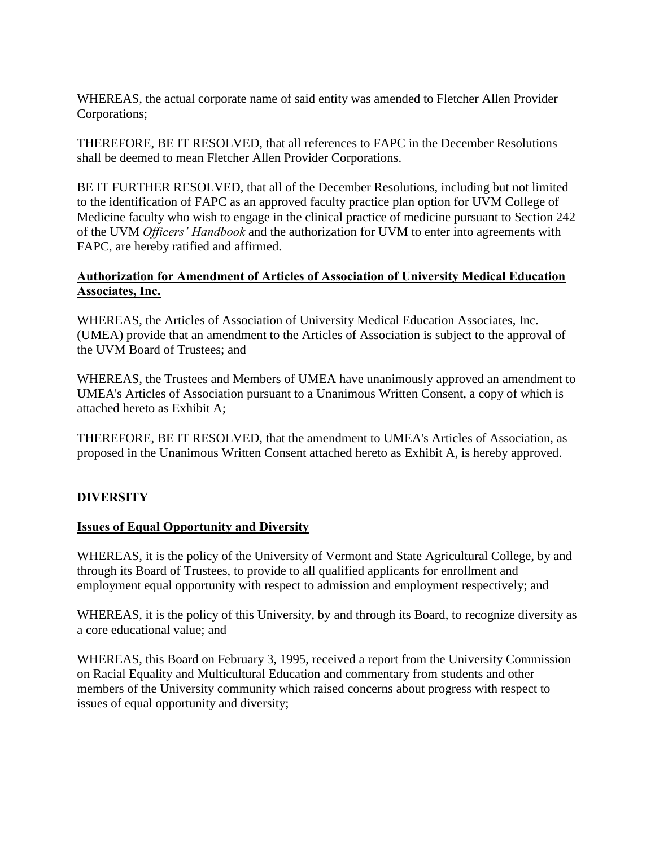<span id="page-21-0"></span>WHEREAS, the actual corporate name of said entity was amended to Fletcher Allen Provider Corporations;

THEREFORE, BE IT RESOLVED, that all references to FAPC in the December Resolutions shall be deemed to mean Fletcher Allen Provider Corporations.

BE IT FURTHER RESOLVED, that all of the December Resolutions, including but not limited to the identification of FAPC as an approved faculty practice plan option for UVM College of Medicine faculty who wish to engage in the clinical practice of medicine pursuant to Section 242 of the UVM *Officers' Handbook* and the authorization for UVM to enter into agreements with FAPC, are hereby ratified and affirmed.

### **Authorization for Amendment of Articles of Association of University Medical Education Associates, Inc.**

WHEREAS, the Articles of Association of University Medical Education Associates, Inc. (UMEA) provide that an amendment to the Articles of Association is subject to the approval of the UVM Board of Trustees; and

WHEREAS, the Trustees and Members of UMEA have unanimously approved an amendment to UMEA's Articles of Association pursuant to a Unanimous Written Consent, a copy of which is attached hereto as Exhibit A;

THEREFORE, BE IT RESOLVED, that the amendment to UMEA's Articles of Association, as proposed in the Unanimous Written Consent attached hereto as Exhibit A, is hereby approved.

# **DIVERSITY**

### **Issues of Equal Opportunity and Diversity**

WHEREAS, it is the policy of the University of Vermont and State Agricultural College, by and through its Board of Trustees, to provide to all qualified applicants for enrollment and employment equal opportunity with respect to admission and employment respectively; and

WHEREAS, it is the policy of this University, by and through its Board, to recognize diversity as a core educational value; and

WHEREAS, this Board on February 3, 1995, received a report from the University Commission on Racial Equality and Multicultural Education and commentary from students and other members of the University community which raised concerns about progress with respect to issues of equal opportunity and diversity;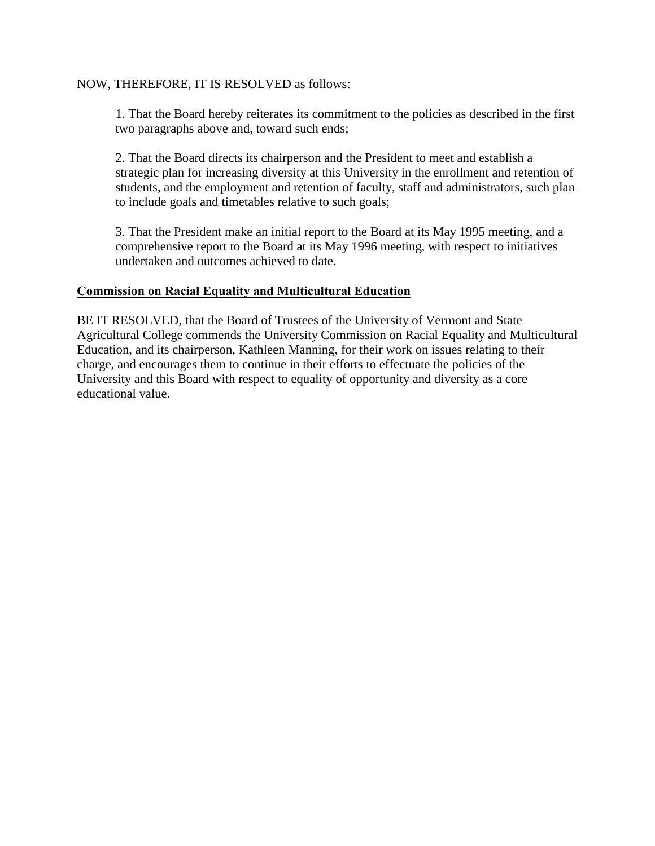#### <span id="page-22-0"></span>NOW, THEREFORE, IT IS RESOLVED as follows:

1. That the Board hereby reiterates its commitment to the policies as described in the first two paragraphs above and, toward such ends;

2. That the Board directs its chairperson and the President to meet and establish a strategic plan for increasing diversity at this University in the enrollment and retention of students, and the employment and retention of faculty, staff and administrators, such plan to include goals and timetables relative to such goals;

3. That the President make an initial report to the Board at its May 1995 meeting, and a comprehensive report to the Board at its May 1996 meeting, with respect to initiatives undertaken and outcomes achieved to date.

#### **Commission on Racial Equality and Multicultural Education**

BE IT RESOLVED, that the Board of Trustees of the University of Vermont and State Agricultural College commends the University Commission on Racial Equality and Multicultural Education, and its chairperson, Kathleen Manning, for their work on issues relating to their charge, and encourages them to continue in their efforts to effectuate the policies of the University and this Board with respect to equality of opportunity and diversity as a core educational value.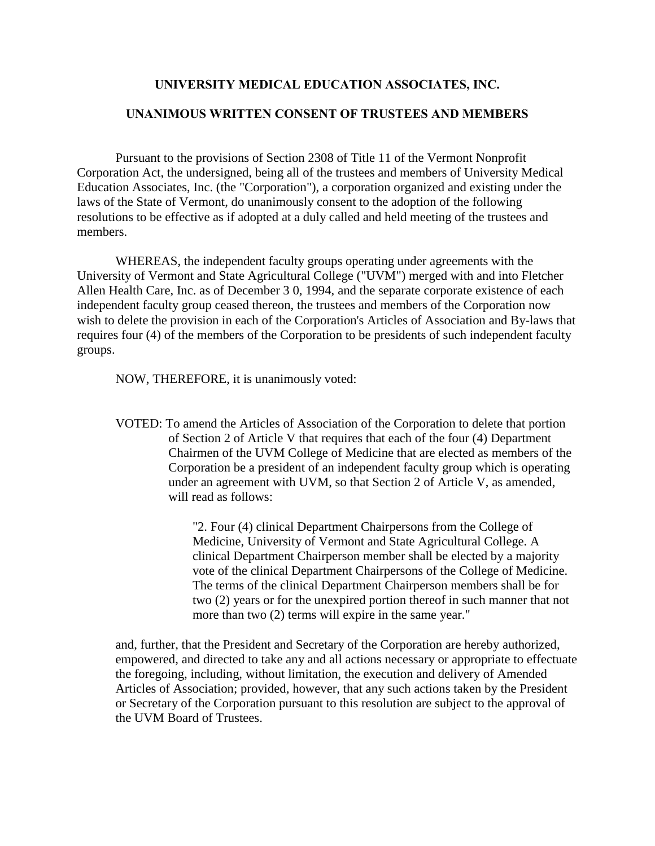#### **UNIVERSITY MEDICAL EDUCATION ASSOCIATES, INC.**

#### <span id="page-23-0"></span>**UNANIMOUS WRITTEN CONSENT OF TRUSTEES AND MEMBERS**

 Pursuant to the provisions of Section 2308 of Title 11 of the Vermont Nonprofit Corporation Act, the undersigned, being all of the trustees and members of University Medical Education Associates, Inc. (the "Corporation"), a corporation organized and existing under the laws of the State of Vermont, do unanimously consent to the adoption of the following resolutions to be effective as if adopted at a duly called and held meeting of the trustees and members.

 WHEREAS, the independent faculty groups operating under agreements with the University of Vermont and State Agricultural College ("UVM") merged with and into Fletcher Allen Health Care, Inc. as of December 3 0, 1994, and the separate corporate existence of each independent faculty group ceased thereon, the trustees and members of the Corporation now wish to delete the provision in each of the Corporation's Articles of Association and By-laws that requires four (4) of the members of the Corporation to be presidents of such independent faculty groups.

NOW, THEREFORE, it is unanimously voted:

VOTED: To amend the Articles of Association of the Corporation to delete that portion of Section 2 of Article V that requires that each of the four (4) Department Chairmen of the UVM College of Medicine that are elected as members of the Corporation be a president of an independent faculty group which is operating under an agreement with UVM, so that Section 2 of Article V, as amended, will read as follows:

> "2. Four (4) clinical Department Chairpersons from the College of Medicine, University of Vermont and State Agricultural College. A clinical Department Chairperson member shall be elected by a majority vote of the clinical Department Chairpersons of the College of Medicine. The terms of the clinical Department Chairperson members shall be for two (2) years or for the unexpired portion thereof in such manner that not more than two (2) terms will expire in the same year."

and, further, that the President and Secretary of the Corporation are hereby authorized, empowered, and directed to take any and all actions necessary or appropriate to effectuate the foregoing, including, without limitation, the execution and delivery of Amended Articles of Association; provided, however, that any such actions taken by the President or Secretary of the Corporation pursuant to this resolution are subject to the approval of the UVM Board of Trustees.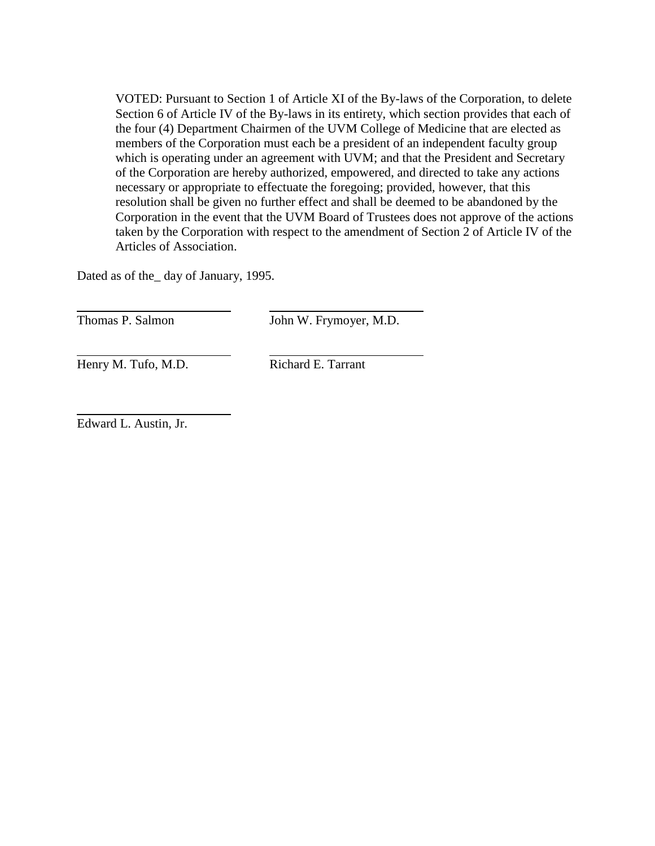<span id="page-24-0"></span>VOTED: Pursuant to Section 1 of Article XI of the By-laws of the Corporation, to delete Section 6 of Article IV of the By-laws in its entirety, which section provides that each of the four (4) Department Chairmen of the UVM College of Medicine that are elected as members of the Corporation must each be a president of an independent faculty group which is operating under an agreement with UVM; and that the President and Secretary of the Corporation are hereby authorized, empowered, and directed to take any actions necessary or appropriate to effectuate the foregoing; provided, however, that this resolution shall be given no further effect and shall be deemed to be abandoned by the Corporation in the event that the UVM Board of Trustees does not approve of the actions taken by the Corporation with respect to the amendment of Section 2 of Article IV of the Articles of Association.

Dated as of the\_ day of January, 1995.

 $\overline{a}$ 

 $\overline{a}$ 

 $\overline{a}$ 

Thomas P. Salmon John W. Frymoyer, M.D.

Henry M. Tufo, M.D. Richard E. Tarrant

Edward L. Austin, Jr.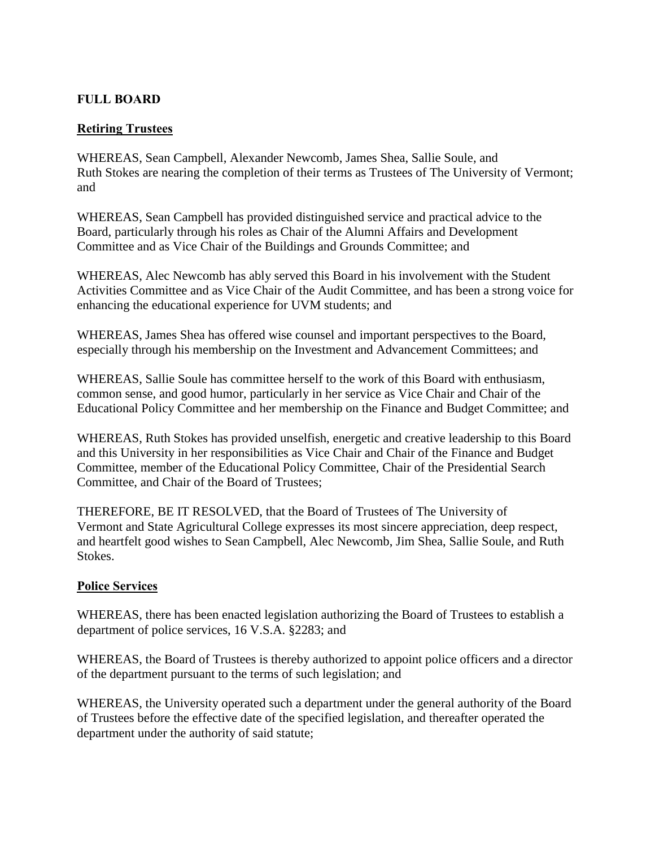### <span id="page-25-0"></span>**FULL BOARD**

### **Retiring Trustees**

WHEREAS, Sean Campbell, Alexander Newcomb, James Shea, Sallie Soule, and Ruth Stokes are nearing the completion of their terms as Trustees of The University of Vermont; and

WHEREAS, Sean Campbell has provided distinguished service and practical advice to the Board, particularly through his roles as Chair of the Alumni Affairs and Development Committee and as Vice Chair of the Buildings and Grounds Committee; and

WHEREAS, Alec Newcomb has ably served this Board in his involvement with the Student Activities Committee and as Vice Chair of the Audit Committee, and has been a strong voice for enhancing the educational experience for UVM students; and

WHEREAS, James Shea has offered wise counsel and important perspectives to the Board, especially through his membership on the Investment and Advancement Committees; and

WHEREAS, Sallie Soule has committee herself to the work of this Board with enthusiasm, common sense, and good humor, particularly in her service as Vice Chair and Chair of the Educational Policy Committee and her membership on the Finance and Budget Committee; and

WHEREAS, Ruth Stokes has provided unselfish, energetic and creative leadership to this Board and this University in her responsibilities as Vice Chair and Chair of the Finance and Budget Committee, member of the Educational Policy Committee, Chair of the Presidential Search Committee, and Chair of the Board of Trustees;

THEREFORE, BE IT RESOLVED, that the Board of Trustees of The University of Vermont and State Agricultural College expresses its most sincere appreciation, deep respect, and heartfelt good wishes to Sean Campbell, Alec Newcomb, Jim Shea, Sallie Soule, and Ruth Stokes.

### **Police Services**

WHEREAS, there has been enacted legislation authorizing the Board of Trustees to establish a department of police services, 16 V.S.A. §2283; and

WHEREAS, the Board of Trustees is thereby authorized to appoint police officers and a director of the department pursuant to the terms of such legislation; and

WHEREAS, the University operated such a department under the general authority of the Board of Trustees before the effective date of the specified legislation, and thereafter operated the department under the authority of said statute;